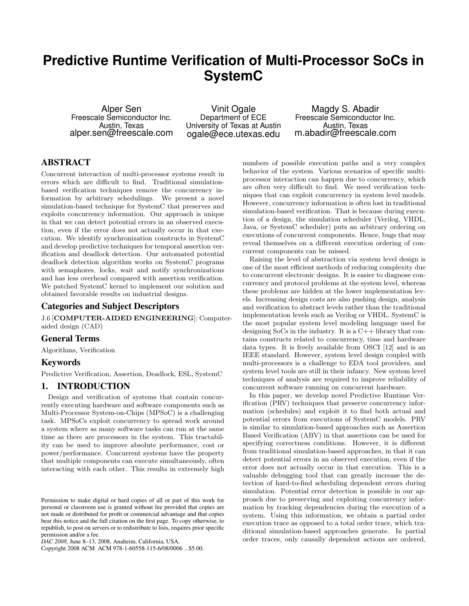# **Predictive Runtime Verification of Multi-Processor SoCs in SystemC**

Alper Sen Freescale Semiconductor Inc. Austin, Texas alper.sen@freescale.com

Vinit Ogale Department of ECE University of Texas at Austin ogale@ece.utexas.edu

Magdy S. Abadir Freescale Semiconductor Inc. Austin, Texas m.abadir@freescale.com

# ABSTRACT

Concurrent interaction of multi-processor systems result in errors which are difficult to find. Traditional simulationbased verification techniques remove the concurrency information by arbitrary schedulings. We present a novel simulation-based technique for SystemC that preserves and exploits concurrency information. Our approach is unique in that we can detect potential errors in an observed execution, even if the error does not actually occur in that execution. We identify synchronization constructs in SystemC and develop predictive techniques for temporal assertion verification and deadlock detection. Our automated potential deadlock detection algorithm works on SystemC programs with semaphores, locks, wait and notify synchronizations and has less overhead compared with assertion verification. We patched SystemC kernel to implement our solution and obtained favorable results on industrial designs.

## Categories and Subject Descriptors

J.6 [COMPUTER-AIDED ENGINEERING]: Computeraided design (CAD)

## General Terms

Algorithms, Verification

#### Keywords

Predictive Verification, Assertion, Deadlock, ESL, SystemC

## 1. INTRODUCTION

Design and verification of systems that contain concurrently executing hardware and software components such as Multi-Processor System-on-Chips (MPSoC) is a challenging task. MPSoCs exploit concurrency to spread work around a system where as many software tasks can run at the same time as there are processors in the system. This tractability can be used to improve absolute performance, cost or power/performance. Concurrent systems have the property that multiple components can execute simultaneously, often interacting with each other. This results in extremely high

Copyright 2008 ACM ACM 978-1-60558-115-6/08/0006 ...\$5.00.

numbers of possible execution paths and a very complex behavior of the system. Various scenarios of specific multiprocessor interaction can happen due to concurrency, which are often very difficult to find. We need verification techniques that can exploit concurrency in system level models. However, concurrency information is often lost in traditional simulation-based verification. That is because during execution of a design, the simulation scheduler (Verilog, VHDL, Java, or SystemC scheduler) puts an arbitrary ordering on executions of concurrent components. Hence, bugs that may reveal themselves on a different execution ordering of concurrent components can be missed.

Raising the level of abstraction via system level design is one of the most efficient methods of reducing complexity due to concurrent electronic designs. It is easier to diagnose concurrency and protocol problems at the system level, whereas these problems are hidden at the lower implementation levels. Increasing design costs are also pushing design, analysis and verification to abstract levels rather than the traditional implementation levels such as Verilog or VHDL. SystemC is the most popular system level modeling language used for designing  $Socs$  in the industry. It is a  $C++$  library that contains constructs related to concurrency, time and hardware data types. It is freely available from OSCI [12] and is an IEEE standard. However, system level design coupled with multi-processors is a challenge to EDA tool providers, and system level tools are still in their infancy. New system level techniques of analysis are required to improve reliability of concurrent software running on concurrent hardware.

In this paper, we develop novel Predictive Runtime Verification (PRV) techniques that preserve concurrency information (schedules) and exploit it to find both actual and potential errors from executions of SystemC models. PRV is similar to simulation-based approaches such as Assertion Based Verification (ABV) in that assertions can be used for specifying correctness conditions. However, it is different from traditional simulation-based approaches, in that it can detect potential errors in an observed execution, even if the error does not actually occur in that execution. This is a valuable debugging tool that can greatly increase the detection of hard-to-find scheduling dependent errors during simulation. Potential error detection is possible in our approach due to preserving and exploiting concurrency information by tracking dependencies during the execution of a system. Using this information, we obtain a partial order execution trace as opposed to a total order trace, which traditional simulation-based approaches generate. In partial order traces, only causally dependent actions are ordered,

Permission to make digital or hard copies of all or part of this work for personal or classroom use is granted without fee provided that copies are not made or distributed for profit or commercial advantage and that copies bear this notice and the full citation on the first page. To copy otherwise, to republish, to post on servers or to redistribute to lists, requires prior specific permission and/or a fee.

*DAC 2008,* June 8–13, 2008, Anaheim, California, USA.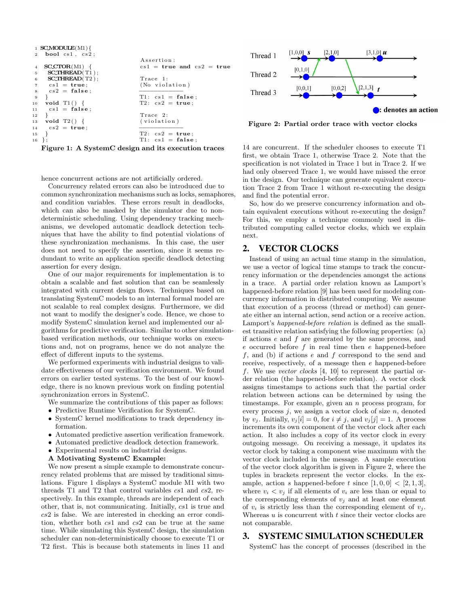```
1 SCMODULE(M1) {
2 bool cs1, cs2;4 SCCTOR(M1) {
5 SCTHREAD(T1);
6 ;
7 \text{ cs1} = \text{true}:
s cs2 = false;
<sup>9</sup>
10 void T1() {
11 cs1 = false;
12 \quad \}13 void T2() {
\begin{array}{cc} 14 & \cos 2 = \mathbf{true} \\ 15 & \end{array}15 }
16 \; \};
                                    Assertion:
                                    cs1 = true and cs2 = true
                                    Trace 1 :
                                    (No violation)
                                   −−−−−−−−−−−−
                                    T1: cs1 = false;T2: cs2 = true;Trace 2:
                                    (violation)
                                   −−−−−−−−−−−−
                                    T2: cs2 = true;T1: cs1 = false;Figure 1: A SystemC design and its execution traces
```
hence concurrent actions are not artificially ordered.

Concurrency related errors can also be introduced due to common synchronization mechanisms such as locks, semaphores, and condition variables. These errors result in deadlocks, which can also be masked by the simulator due to nondeterministic scheduling. Using dependency tracking mechanisms, we developed automatic deadlock detection techniques that have the ability to find potential violations of these synchronization mechanisms. In this case, the user does not need to specify the assertion, since it seems redundant to write an application specific deadlock detecting assertion for every design.

One of our major requirements for implementation is to obtain a scalable and fast solution that can be seamlessly integrated with current design flows. Techniques based on translating SystemC models to an internal formal model are not scalable to real complex designs. Furthermore, we did not want to modify the designer's code. Hence, we chose to modify SystemC simulation kernel and implemented our algorithms for predictive verification. Similar to other simulationbased verification methods, our technique works on executions and, not on programs, hence we do not analyze the effect of different inputs to the systems.

We performed experiments with industrial designs to validate effectiveness of our verification environment. We found errors on earlier tested systems. To the best of our knowledge, there is no known previous work on finding potential synchronization errors in SystemC.

- We summarize the contributions of this paper as follows:
- Predictive Runtime Verification for SystemC.
- SystemC kernel modifications to track dependency information.
- Automated predictive assertion verification framework.
- Automated predictive deadlock detection framework.
- Experimental results on industrial designs.
- A Motivating SystemC Example:

We now present a simple example to demonstrate concurrency related problems that are missed by traditional simulations. Figure 1 displays a SystemC module M1 with two threads T1 and T2 that control variables cs1 and cs2, respectively. In this example, threads are independent of each other, that is, not communicating. Initially, cs1 is true and cs2 is false. We are interested in checking an error condition, whether both cs1 and cs2 can be true at the same time. While simulating this SystemC design, the simulation scheduler can non-deterministically choose to execute T1 or T2 first. This is because both statements in lines 11 and



Figure 2: Partial order trace with vector clocks

14 are concurrent. If the scheduler chooses to execute T1 first, we obtain Trace 1, otherwise Trace 2. Note that the specification is not violated in Trace 1 but in Trace 2. If we had only observed Trace 1, we would have missed the error in the design. Our technique can generate equivalent execution Trace 2 from Trace 1 without re-executing the design and find the potential error.

So, how do we preserve concurrency information and obtain equivalent executions without re-executing the design? For this, we employ a technique commonly used in distributed computing called vector clocks, which we explain next.

### 2. VECTOR CLOCKS

Instead of using an actual time stamp in the simulation, we use a vector of logical time stamps to track the concurrency information or the dependencies amongst the actions in a trace. A partial order relation known as Lamport's happened-before relation [9] has been used for modeling concurrency information in distributed computing. We assume that execution of a process (thread or method) can generate either an internal action, send action or a receive action. Lamport's happened-before relation is defined as the smallest transitive relation satisfying the following properties: (a) if actions e and f are generated by the same process, and e occurred before f in real time then e happened-before  $f$ , and (b) if actions  $e$  and  $f$  correspond to the send and receive, respectively, of a message then e happened-before f. We use vector clocks [4, 10] to represent the partial order relation (the happened-before relation). A vector clock assigns timestamps to actions such that the partial order relation between actions can be determined by using the timestamps. For example, given an n process program, for every process  $j$ , we assign a vector clock of size  $n$ , denoted by  $v_i$ . Initially,  $v_j[i] = 0$ , for  $i \neq j$ , and  $v_j[j] = 1$ . A process increments its own component of the vector clock after each action. It also includes a copy of its vector clock in every outgoing message. On receiving a message, it updates its vector clock by taking a component wise maximum with the vector clock included in the message. A sample execution of the vector clock algorithm is given in Figure 2, where the tuples in brackets represent the vector clocks. In the example, action s happened-before t since  $[1, 0, 0] < [2, 1, 3]$ , where  $v_i < v_j$  if all elements of  $v_i$  are less than or equal to the corresponding elements of  $v_j$  and at least one element of  $v_i$  is strictly less than the corresponding element of  $v_i$ . Whereas  $u$  is concurrent with  $t$  since their vector clocks are not comparable.

#### 3. SYSTEMC SIMULATION SCHEDULER

SystemC has the concept of processes (described in the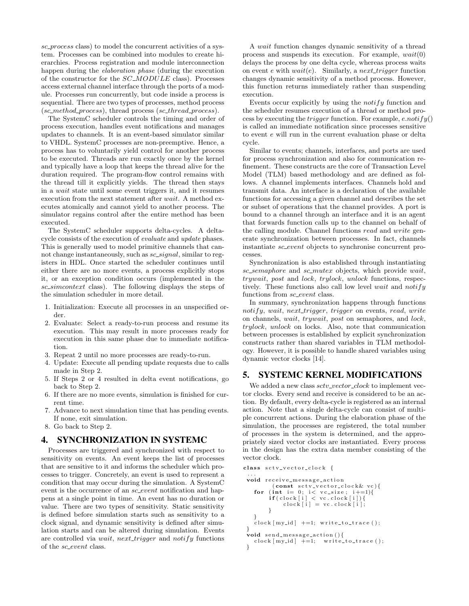sc\_process class) to model the concurrent activities of a system. Processes can be combined into modules to create hierarchies. Process registration and module interconnection happen during the elaboration phase (during the execution of the constructor for the SC MODULE class). Processes access external channel interface through the ports of a module. Processes run concurrently, but code inside a process is sequential. There are two types of processes, method process  $(sc_{\text{m}}/s_{\text{m}})$ , thread process (sc<sub>thread process</sub>).

The SystemC scheduler controls the timing and order of process execution, handles event notifications and manages updates to channels. It is an event-based simulator similar to VHDL. SystemC processes are non-preemptive. Hence, a process has to voluntarily yield control for another process to be executed. Threads are run exactly once by the kernel and typically have a loop that keeps the thread alive for the duration required. The program-flow control remains with the thread till it explicitly yields. The thread then stays in a wait state until some event triggers it, and it resumes execution from the next statement after wait. A method executes atomically and cannot yield to another process. The simulator regains control after the entire method has been executed.

The SystemC scheduler supports delta-cycles. A deltacycle consists of the execution of evaluate and update phases. This is generally used to model primitive channels that cannot change instantaneously, such as  $sc\_signal$ , similar to registers in HDL. Once started the scheduler continues until either there are no more events, a process explicitly stops it, or an exception condition occurs (implemented in the sc\_simcontext class). The following displays the steps of the simulation scheduler in more detail.

- 1. Initialization: Execute all processes in an unspecified order.
- 2. Evaluate: Select a ready-to-run process and resume its execution. This may result in more processes ready for execution in this same phase due to immediate notification.
- 3. Repeat 2 until no more processes are ready-to-run.
- 4. Update: Execute all pending update requests due to calls made in Step 2.
- 5. If Steps 2 or 4 resulted in delta event notifications, go back to Step 2.
- 6. If there are no more events, simulation is finished for current time.
- 7. Advance to next simulation time that has pending events. If none, exit simulation.
- 8. Go back to Step 2.

## 4. SYNCHRONIZATION IN SYSTEMC

Processes are triggered and synchronized with respect to sensitivity on events. An event keeps the list of processes that are sensitive to it and informs the scheduler which processes to trigger. Concretely, an event is used to represent a condition that may occur during the simulation. A SystemC event is the occurrence of an *sc*\_event notification and happens at a single point in time. An event has no duration or value. There are two types of sensitivity. Static sensitivity is defined before simulation starts such as sensitivity to a clock signal, and dynamic sensitivity is defined after simulation starts and can be altered during simulation. Events are controlled via wait, next\_trigger and notify functions of the *sc\_event* class.

A wait function changes dynamic sensitivity of a thread process and suspends its execution. For example,  $wait(0)$ delays the process by one delta cycle, whereas process waits on event e with  $wait(e)$ . Similarly, a next trigger function changes dynamic sensitivity of a method process. However, this function returns immediately rather than suspending execution.

Events occur explicitly by using the *notify* function and the scheduler resumes execution of a thread or method process by executing the *trigger* function. For example,  $e.notify()$ is called an immediate notification since processes sensitive to event e will run in the current evaluation phase or delta cycle.

Similar to events; channels, interfaces, and ports are used for process synchronization and also for communication refinement. These constructs are the core of Transaction Level Model (TLM) based methodology and are defined as follows. A channel implements interfaces. Channels hold and transmit data. An interface is a declaration of the available functions for accessing a given channel and describes the set or subset of operations that the channel provides. A port is bound to a channel through an interface and it is an agent that forwards function calls up to the channel on behalf of the calling module. Channel functions read and write generate synchronization between processes. In fact, channels instantiate *sc\_event* objects to synchronise concurrent processes.

Synchronization is also established through instantiating sc\_semaphore and sc\_mutex objects, which provide wait, trywait, post and lock, trylock, unlock functions, respectively. These functions also call low level wait and notify functions from sc\_event class.

In summary, synchronization happens through functions notify, wait, next\_trigger, trigger on events, read, write on channels, wait, trywait, post on semaphores, and lock, trylock, unlock on locks. Also, note that communication between processes is established by explicit synchronization constructs rather than shared variables in TLM methodology. However, it is possible to handle shared variables using dynamic vector clocks [14].

## 5. SYSTEMC KERNEL MODIFICATIONS

We added a new class  $stv\_vector\_clock$  to implement vector clocks. Every send and receive is considered to be an action. By default, every delta-cycle is registered as an internal action. Note that a single delta-cycle can consist of multiple concurrent actions. During the elaboration phase of the simulation, the processes are registered, the total number of processes in the system is determined, and the appropriately sized vector clocks are instantiated. Every process in the design has the extra data member consisting of the vector clock.

```
class sctv_vector_clock {
  . . .
 void receive_message_action
            (const \; set v\_vector\_clock \& ve)for (int i= 0; i< vc\_size; i+=1){
          if (clock[i] < vc. clock[i]){
                \text{clock}[\mathbf{i}] = \text{vc}.\text{clock}[\mathbf{i}];}
    }
    \text{clock} [my_id] +=1; write_to_trace ();
 }
 \mathbf{void}\ \ \mathbf{send\_message\_action}\ (\mathbf{)}\text{clock} \left[ \text{my_id} \right] +=1; write_to_trace ();
 }
```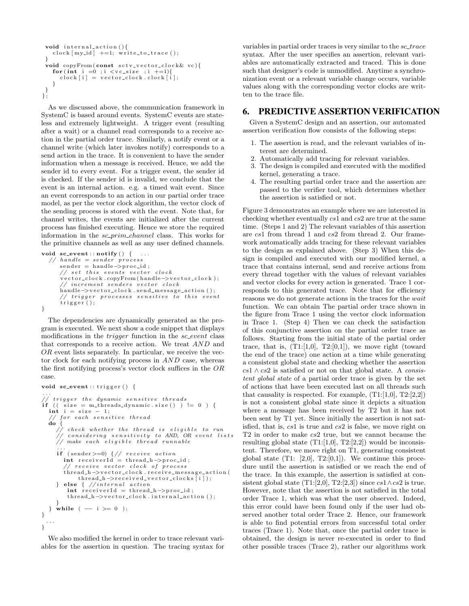```
void internal_action(){
   clock [my_id] +=1; write_to_trace();}<br>void copyFrom(const sctv_vector_clock&vc){
  for (int i =0 ; i <vc_size ; i +=1){
    clock[i] = vector\_clock[clock[i];}
}
\};
```
As we discussed above, the communication framework in SystemC is based around events. SystemC events are stateless and extremely lightweight. A trigger event (resulting after a wait) or a channel read corresponds to a receive action in the partial order trace. Similarly, a notify event or a channel write (which later invokes notify) corresponds to a send action in the trace. It is convenient to have the sender information when a message is received. Hence, we add the sender id to every event. For a trigger event, the sender id is checked. If the sender id is invalid, we conclude that the event is an internal action. e.g. a timed wait event. Since an event corresponds to an action in our partial order trace model, as per the vector clock algorithm, the vector clock of the sending process is stored with the event. Note that, for channel writes, the events are initialized after the current process has finished executing. Hence we store the required information in the sc\_prim\_channel class. This works for the primitive channels as well as any user defined channels.

```
void sc_events::notify() { ...// handle = sender process
     sender = handle-\gt{proc_id};// set this events vector clockvector_clock.copyFrom (handle->vector_clock);
     // increment senders vector clock
     hand le ->vector_clock.send_message_action();
     // trigger processes sensitive to this eventtrigger();
}
```
The dependencies are dynamically generated as the program is executed. We next show a code snippet that displays modifications in the *trigger* function in the *sc\_event* class that corresponds to a receive action. We treat AND and OR event lists separately. In particular, we receive the vector clock for each notifying process in AND case, whereas the first notifying process's vector clock suffices in the OR case.

```
void sc_event :: trigger () {
. . .
  trigger the dynamic sensitive threads
if ((size = m_{\text{threads\_dynamic}} \text{ size } () ) := 0 ) {
  \mathbf{int} i = size - 1;
   // for each sensitive threaddo {
     // check whether the thread is eligible to run<br>// considering sensitivity to AND, OR event lists
     \sqrt{2} make each eligible thread runnable
     . . .
     if (sender >=0) {// receive action
       \text{int} receiverId = thread_h->proc_id;
          receive vector clock of process
       thread_h->vector_clock.receive_message_action(
            thread_h \rightarrow received_vector_clocks [i]);
       else { //internal action\text{int} receiverId = thread_h->proc_id;
         thread_h \rightarrowvector_clock.internal_action();
     }
  } while ( -- i >= 0 );
}
  . . .
}
```
We also modified the kernel in order to trace relevant variables for the assertion in question. The tracing syntax for variables in partial order traces is very similar to the  $sc\_trace$ syntax. After the user specifies an assertion, relevant variables are automatically extracted and traced. This is done such that designer's code is unmodified. Anytime a synchronization event or a relevant variable change occurs, variable values along with the corresponding vector clocks are written to the trace file.

### 6. PREDICTIVE ASSERTION VERIFICATION

Given a SystemC design and an assertion, our automated assertion verification flow consists of the following steps:

- 1. The assertion is read, and the relevant variables of interest are determined.
- 2. Automatically add tracing for relevant variables.
- 3. The design is compiled and executed with the modified kernel, generating a trace.
- 4. The resulting partial order trace and the assertion are passed to the verifier tool, which determines whether the assertion is satisfied or not.

Figure 3 demonstrates an example where we are interested in checking whether eventually  $cs1$  and  $cs2$  are true at the same time. (Steps 1 and 2) The relevant variables of this assertion are cs1 from thread 1 and cs2 from thread 2. Our framework automatically adds tracing for these relevant variables to the design as explained above. (Step 3) When this design is compiled and executed with our modified kernel, a trace that contains internal, send and receive actions from every thread together with the values of relevant variables and vector clocks for every action is generated. Trace 1 corresponds to this generated trace. Note that for efficiency reasons we do not generate actions in the traces for the wait function. We can obtain The partial order trace shown in the figure from Trace 1 using the vector clock information in Trace 1. (Step 4) Then we can check the satisfaction of this conjunctive assertion on the partial order trace as follows. Starting from the initial state of the partial order trace, that is,  $(T1:[1,0], T2:[0,1])$ , we move right (toward the end of the trace) one action at a time while generating a consistent global state and checking whether the assertion  $cs1 \wedge cs2$  is satisfied or not on that global state. A *consis*tent global state of a partial order trace is given by the set of actions that have been executed last on all threads such that causality is respected. For example,  $(T1:[1,0], T2:[2,2])$ is not a consistent global state since it depicts a situation where a message has been received by T2 but it has not been sent by T1 yet. Since initially the assertion is not satisfied, that is, cs1 is true and cs2 is false, we move right on T2 in order to make cs2 true, but we cannot because the resulting global state  $(T1:[1,0], T2:[2,2])$  would be inconsistent. Therefore, we move right on T1, generating consistent global state  $(T1: [2,0], T2:[0,1])$ . We continue this procedure until the assertion is satisfied or we reach the end of the trace. In this example, the assertion is satisfied at consistent global state (T1:[2,0], T2:[2,3]) since  $cs1 \wedge cs2$  is true. However, note that the assertion is not satisfied in the total order Trace 1, which was what the user observed. Indeed, this error could have been found only if the user had observed another total order Trace 2. Hence, our framework is able to find potential errors from successful total order traces (Trace 1). Note that, once the partial order trace is obtained, the design is never re-executed in order to find other possible traces (Trace 2), rather our algorithms work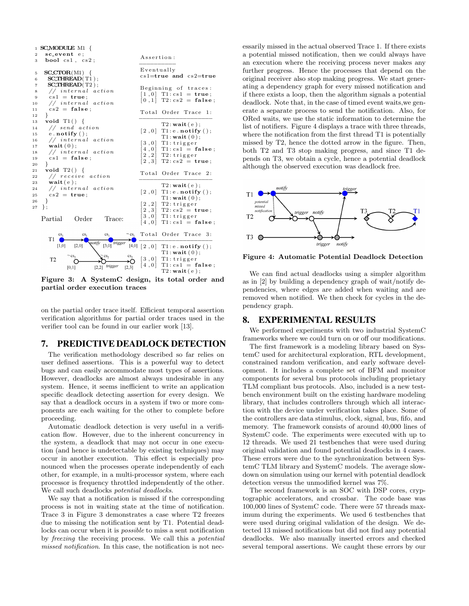

Figure 3: A SystemC design, its total order and partial order execution traces

on the partial order trace itself. Efficient temporal assertion verification algorithms for partial order traces used in the verifier tool can be found in our earlier work [13].

#### 7. PREDICTIVE DEADLOCK DETECTION

The verification methodology described so far relies on user defined assertions. This is a powerful way to detect bugs and can easily accommodate most types of assertions. However, deadlocks are almost always undesirable in any system. Hence, it seems inefficient to write an application specific deadlock detecting assertion for every design. We say that a deadlock occurs in a system if two or more components are each waiting for the other to complete before proceeding.

Automatic deadlock detection is very useful in a verification flow. However, due to the inherent concurrency in the system, a deadlock that may not occur in one execution (and hence is undetectable by existing techniques) may occur in another execution. This effect is especially pronounced when the processes operate independently of each other, for example, in a multi-processor system, where each processor is frequency throttled independently of the other. We call such deadlocks *potential deadlocks*.

We say that a notification is missed if the corresponding process is not in waiting state at the time of notification. Trace 3 in Figure 3 demonstrates a case where T2 freezes due to missing the notification sent by T1. Potential deadlocks can occur when it is possible to miss a sent notification by freezing the receiving process. We call this a potential missed notification. In this case, the notification is not necessarily missed in the actual observed Trace 1. If there exists a potential missed notification, then we could always have an execution where the receiving process never makes any further progress. Hence the processes that depend on the original receiver also stop making progress. We start generating a dependency graph for every missed notification and if there exists a loop, then the algorithm signals a potential deadlock. Note that, in the case of timed event waits,we generate a separate process to send the notification. Also, for ORed waits, we use the static information to determine the list of notifiers. Figure 4 displays a trace with three threads, where the notification from the first thread T1 is potentially missed by T2, hence the dotted arrow in the figure. Then, both T2 and T3 stop making progress, and since T1 depends on T3, we obtain a cycle, hence a potential deadlock although the observed execution was deadlock free.



Figure 4: Automatic Potential Deadlock Detection

We can find actual deadlocks using a simpler algorithm as in [2] by building a dependency graph of wait/notify dependencies, where edges are added when waiting and are removed when notified. We then check for cycles in the dependency graph.

## 8. EXPERIMENTAL RESULTS

We performed experiments with two industrial SystemC frameworks where we could turn on or off our modifications.

The first framework is a modeling library based on SystemC used for architectural exploration, RTL development, constrained random verification, and early software development. It includes a complete set of BFM and monitor components for several bus protocols including proprietary TLM compliant bus protocols. Also, included is a new testbench environment built on the existing hardware modeling library, that includes controllers through which all interaction with the device under verification takes place. Some of the controllers are data stimulus, clock, signal, bus, fifo, and memory. The framework consists of around 40,000 lines of SystemC code. The experiments were executed with up to 12 threads. We used 21 testbenches that were used during original validation and found potential deadlocks in 4 cases. These errors were due to the synchronization between SystemC TLM library and SystemC models. The average slowdown on simulation using our kernel with potential deadlock detection versus the unmodified kernel was 7%.

The second framework is an SOC with DSP cores, cryptographic accelerators, and crossbar. The code base was 100,000 lines of SystemC code. There were 57 threads maximum during the experiments. We used 6 testbenches that were used during original validation of the design. We detected 13 missed notifications but did not find any potential deadlocks. We also manually inserted errors and checked several temporal assertions. We caught these errors by our